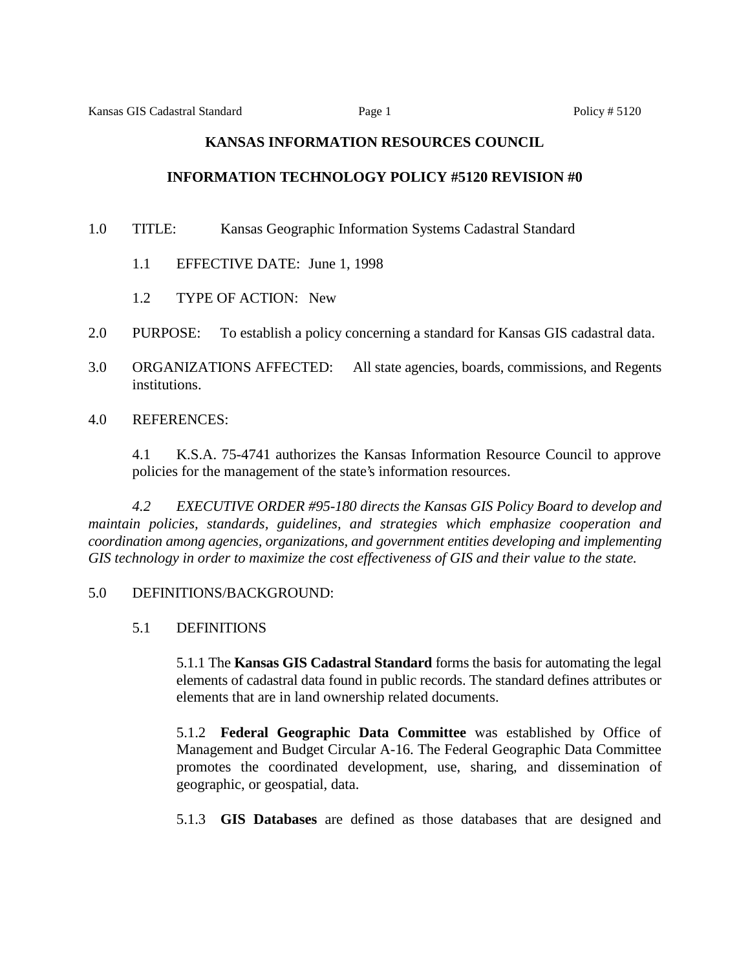# **KANSAS INFORMATION RESOURCES COUNCIL**

# **INFORMATION TECHNOLOGY POLICY #5120 REVISION #0**

1.0 TITLE: Kansas Geographic Information Systems Cadastral Standard

- 1.1 EFFECTIVE DATE: June 1, 1998
- 1.2 TYPE OF ACTION: New
- 2.0 PURPOSE: To establish a policy concerning a standard for Kansas GIS cadastral data.
- 3.0 ORGANIZATIONS AFFECTED: All state agencies, boards, commissions, and Regents institutions.
- 4.0 REFERENCES:

4.1 K.S.A. 75-4741 authorizes the Kansas Information Resource Council to approve policies for the management of the state's information resources.

*4.2 EXECUTIVE ORDER #95-180 directs the Kansas GIS Policy Board to develop and maintain policies, standards, guidelines, and strategies which emphasize cooperation and coordination among agencies, organizations, and government entities developing and implementing GIS technology in order to maximize the cost effectiveness of GIS and their value to the state.*

### 5.0 DEFINITIONS/BACKGROUND:

# 5.1 DEFINITIONS

5.1.1 The **Kansas GIS Cadastral Standard** forms the basis for automating the legal elements of cadastral data found in public records. The standard defines attributes or elements that are in land ownership related documents.

5.1.2 **Federal Geographic Data Committee** was established by Office of Management and Budget Circular A-16. The Federal Geographic Data Committee promotes the coordinated development, use, sharing, and dissemination of geographic, or geospatial, data.

5.1.3 **GIS Databases** are defined as those databases that are designed and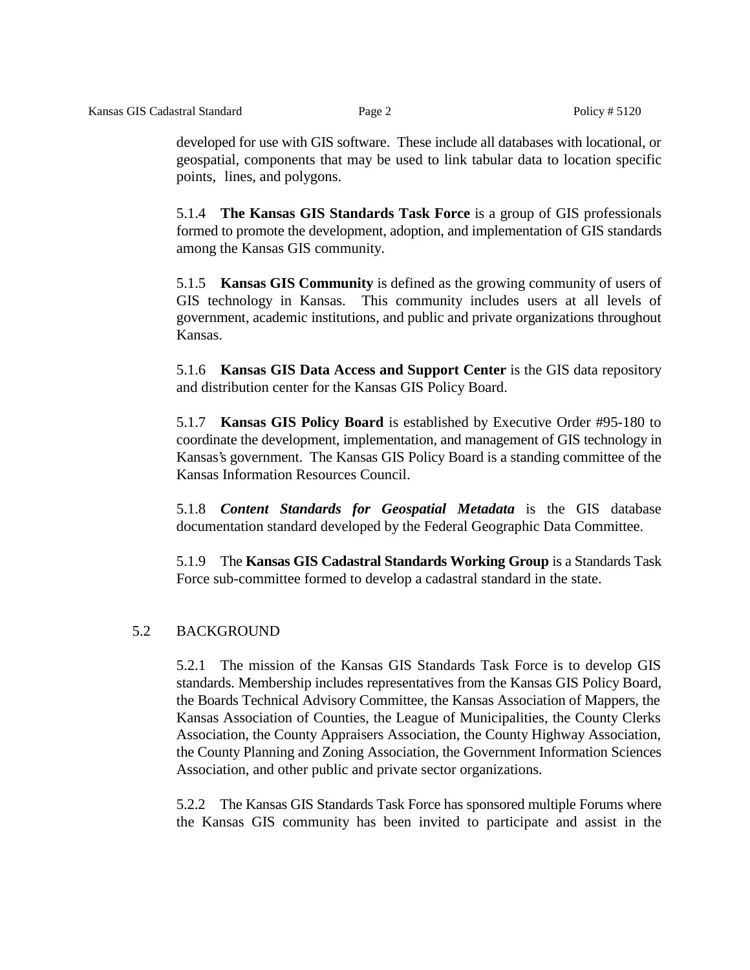developed for use with GIS software. These include all databases with locational, or geospatial, components that may be used to link tabular data to location specific points, lines, and polygons.

5.1.4 **The Kansas GIS Standards Task Force** is a group of GIS professionals formed to promote the development, adoption, and implementation of GIS standards among the Kansas GIS community.

5.1.5 **Kansas GIS Community** is defined as the growing community of users of GIS technology in Kansas. This community includes users at all levels of government, academic institutions, and public and private organizations throughout Kansas.

5.1.6 **Kansas GIS Data Access and Support Center** is the GIS data repository and distribution center for the Kansas GIS Policy Board.

5.1.7 **Kansas GIS Policy Board** is established by Executive Order #95-180 to coordinate the development, implementation, and management of GIS technology in Kansas's government. The Kansas GIS Policy Board is a standing committee of the Kansas Information Resources Council.

5.1.8 *Content Standards for Geospatial Metadata* is the GIS database documentation standard developed by the Federal Geographic Data Committee.

5.1.9 The **Kansas GIS Cadastral Standards Working Group** is a Standards Task Force sub-committee formed to develop a cadastral standard in the state.

# 5.2 BACKGROUND

5.2.1 The mission of the Kansas GIS Standards Task Force is to develop GIS standards. Membership includes representatives from the Kansas GIS Policy Board, the Boards Technical Advisory Committee, the Kansas Association of Mappers, the Kansas Association of Counties, the League of Municipalities, the County Clerks Association, the County Appraisers Association, the County Highway Association, the County Planning and Zoning Association, the Government Information Sciences Association, and other public and private sector organizations.

5.2.2 The Kansas GIS Standards Task Force has sponsored multiple Forums where the Kansas GIS community has been invited to participate and assist in the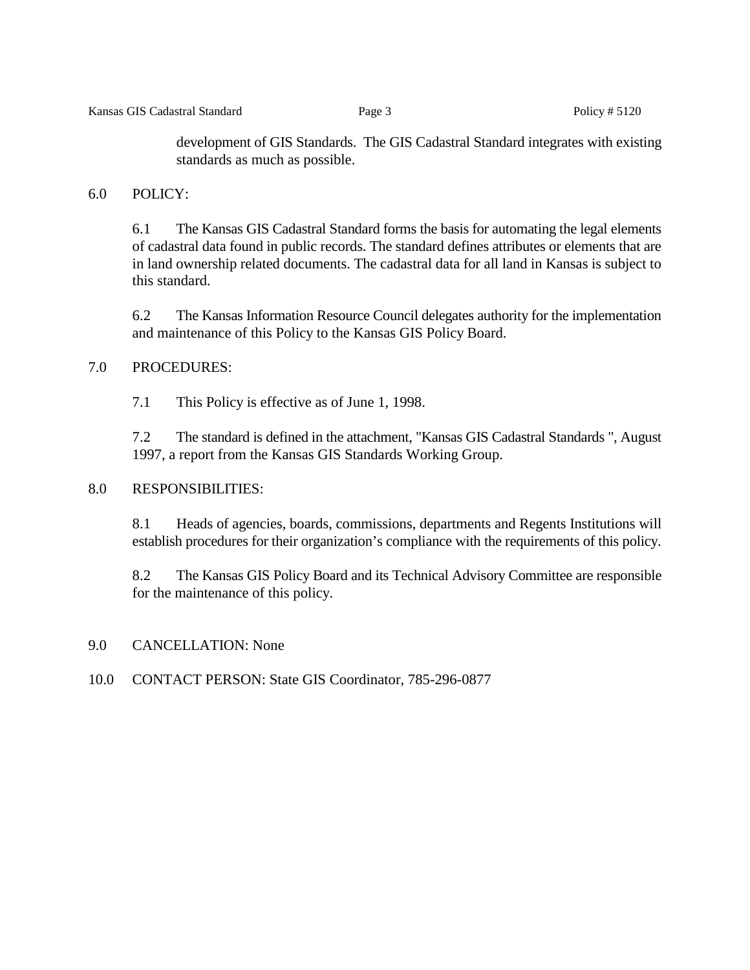development of GIS Standards. The GIS Cadastral Standard integrates with existing standards as much as possible.

# 6.0 POLICY:

6.1 The Kansas GIS Cadastral Standard forms the basis for automating the legal elements of cadastral data found in public records. The standard defines attributes or elements that are in land ownership related documents. The cadastral data for all land in Kansas is subject to this standard.

6.2 The Kansas Information Resource Council delegates authority for the implementation and maintenance of this Policy to the Kansas GIS Policy Board.

# 7.0 PROCEDURES:

7.1 This Policy is effective as of June 1, 1998.

7.2 The standard is defined in the attachment, "Kansas GIS Cadastral Standards ", August 1997, a report from the Kansas GIS Standards Working Group.

### 8.0 RESPONSIBILITIES:

8.1 Heads of agencies, boards, commissions, departments and Regents Institutions will establish procedures for their organization's compliance with the requirements of this policy.

8.2 The Kansas GIS Policy Board and its Technical Advisory Committee are responsible for the maintenance of this policy.

### 9.0 CANCELLATION: None

### 10.0 CONTACT PERSON: State GIS Coordinator, 785-296-0877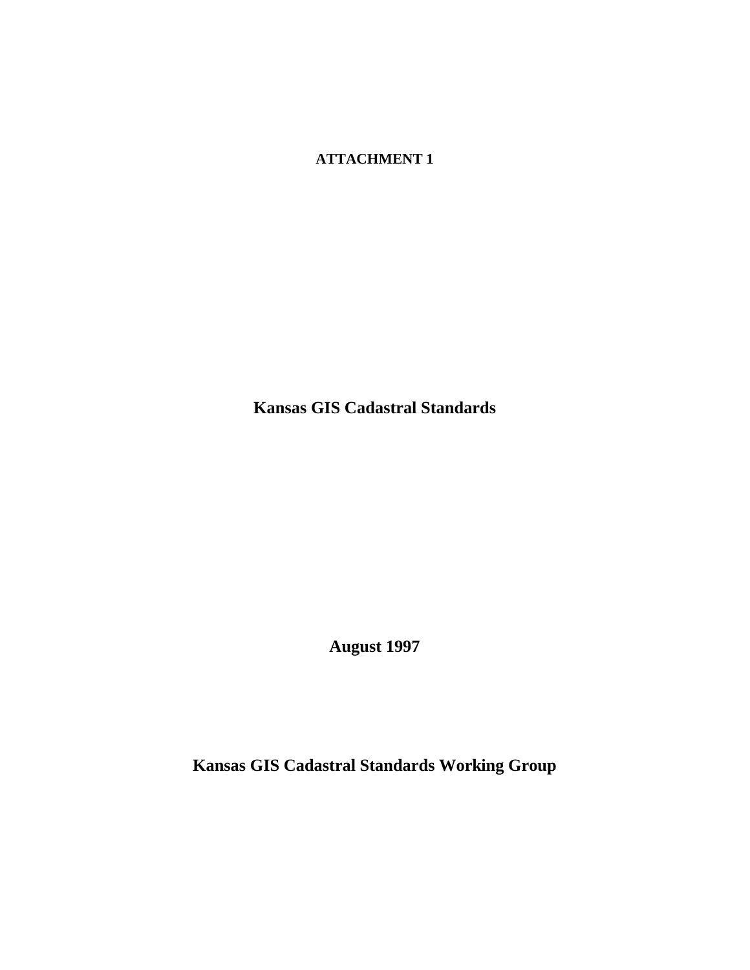**ATTACHMENT 1**

**Kansas GIS Cadastral Standards**

**August 1997**

**Kansas GIS Cadastral Standards Working Group**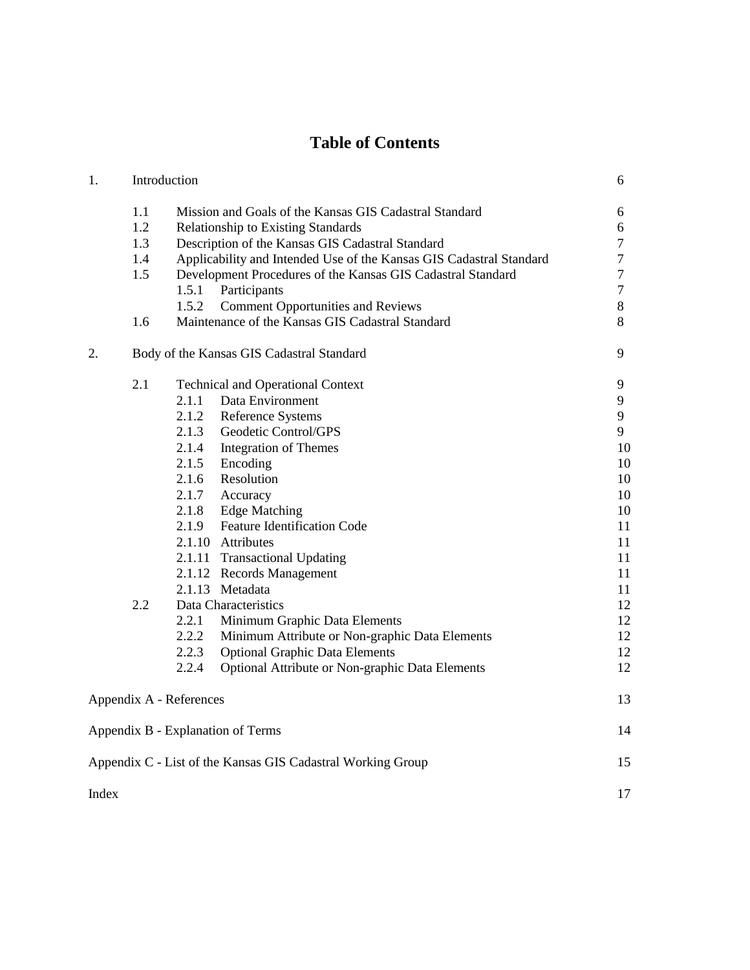# **Table of Contents**

| 1.                      | Introduction                              |       |                                                                     | 6              |
|-------------------------|-------------------------------------------|-------|---------------------------------------------------------------------|----------------|
|                         | 1.1                                       |       | Mission and Goals of the Kansas GIS Cadastral Standard              | 6              |
|                         | 1.2                                       |       | Relationship to Existing Standards                                  | 6              |
|                         | 1.3                                       |       | Description of the Kansas GIS Cadastral Standard                    | $\overline{7}$ |
|                         | 1.4                                       |       | Applicability and Intended Use of the Kansas GIS Cadastral Standard | $\overline{7}$ |
|                         | 1.5                                       |       | Development Procedures of the Kansas GIS Cadastral Standard         | $\overline{7}$ |
|                         |                                           | 1.5.1 | Participants                                                        | $\overline{7}$ |
|                         |                                           | 1.5.2 | <b>Comment Opportunities and Reviews</b>                            | 8              |
|                         | 1.6                                       |       | Maintenance of the Kansas GIS Cadastral Standard                    | 8              |
| 2.                      | Body of the Kansas GIS Cadastral Standard |       |                                                                     | 9              |
|                         | 2.1                                       |       | <b>Technical and Operational Context</b>                            | 9              |
|                         |                                           | 2.1.1 | Data Environment                                                    | 9              |
|                         |                                           | 2.1.2 | <b>Reference Systems</b>                                            | 9              |
|                         |                                           | 2.1.3 | Geodetic Control/GPS                                                | 9              |
|                         |                                           | 2.1.4 | <b>Integration of Themes</b>                                        | 10             |
|                         |                                           | 2.1.5 | Encoding                                                            | 10             |
|                         |                                           | 2.1.6 | Resolution                                                          | 10             |
|                         |                                           | 2.1.7 | Accuracy                                                            | 10             |
|                         |                                           | 2.1.8 | <b>Edge Matching</b>                                                | 10             |
|                         |                                           | 2.1.9 | <b>Feature Identification Code</b>                                  | 11             |
|                         |                                           |       | 2.1.10 Attributes                                                   | 11             |
|                         |                                           |       | 2.1.11 Transactional Updating                                       | 11             |
|                         |                                           |       | 2.1.12 Records Management                                           | 11             |
|                         |                                           |       | 2.1.13 Metadata                                                     | 11             |
|                         | 2.2                                       |       | Data Characteristics                                                | 12             |
|                         |                                           | 2.2.1 | Minimum Graphic Data Elements                                       | 12             |
|                         |                                           | 2.2.2 | Minimum Attribute or Non-graphic Data Elements                      | 12             |
|                         |                                           | 2.2.3 | <b>Optional Graphic Data Elements</b>                               | 12             |
|                         |                                           | 2.2.4 | Optional Attribute or Non-graphic Data Elements                     | 12             |
| Appendix A - References |                                           |       |                                                                     | 13             |
|                         |                                           |       | Appendix B - Explanation of Terms                                   | 14             |
|                         |                                           |       | Appendix C - List of the Kansas GIS Cadastral Working Group         | 15             |
| Index                   |                                           |       |                                                                     | 17             |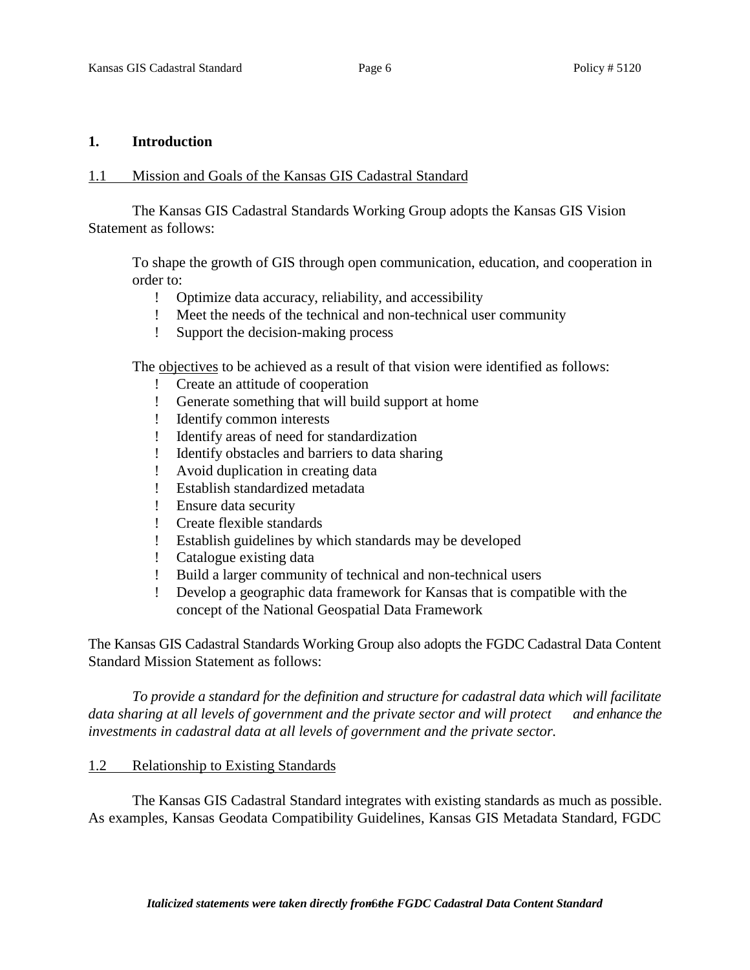### **1. Introduction**

### 1.1 Mission and Goals of the Kansas GIS Cadastral Standard

The Kansas GIS Cadastral Standards Working Group adopts the Kansas GIS Vision Statement as follows:

To shape the growth of GIS through open communication, education, and cooperation in order to:

- ! Optimize data accuracy, reliability, and accessibility
- ! Meet the needs of the technical and non-technical user community
- ! Support the decision-making process

The objectives to be achieved as a result of that vision were identified as follows:

- ! Create an attitude of cooperation
- ! Generate something that will build support at home
- ! Identify common interests
- ! Identify areas of need for standardization
- ! Identify obstacles and barriers to data sharing
- ! Avoid duplication in creating data
- ! Establish standardized metadata
- ! Ensure data security
- ! Create flexible standards
- ! Establish guidelines by which standards may be developed
- ! Catalogue existing data
- ! Build a larger community of technical and non-technical users
- ! Develop a geographic data framework for Kansas that is compatible with the concept of the National Geospatial Data Framework

The Kansas GIS Cadastral Standards Working Group also adopts the FGDC Cadastral Data Content Standard Mission Statement as follows:

*To provide a standard for the definition and structure for cadastral data which will facilitate data sharing at all levels of government and the private sector and will protect and enhance the investments in cadastral data at all levels of government and the private sector.*

### 1.2 Relationship to Existing Standards

The Kansas GIS Cadastral Standard integrates with existing standards as much as possible. As examples, Kansas Geodata Compatibility Guidelines, Kansas GIS Metadata Standard, FGDC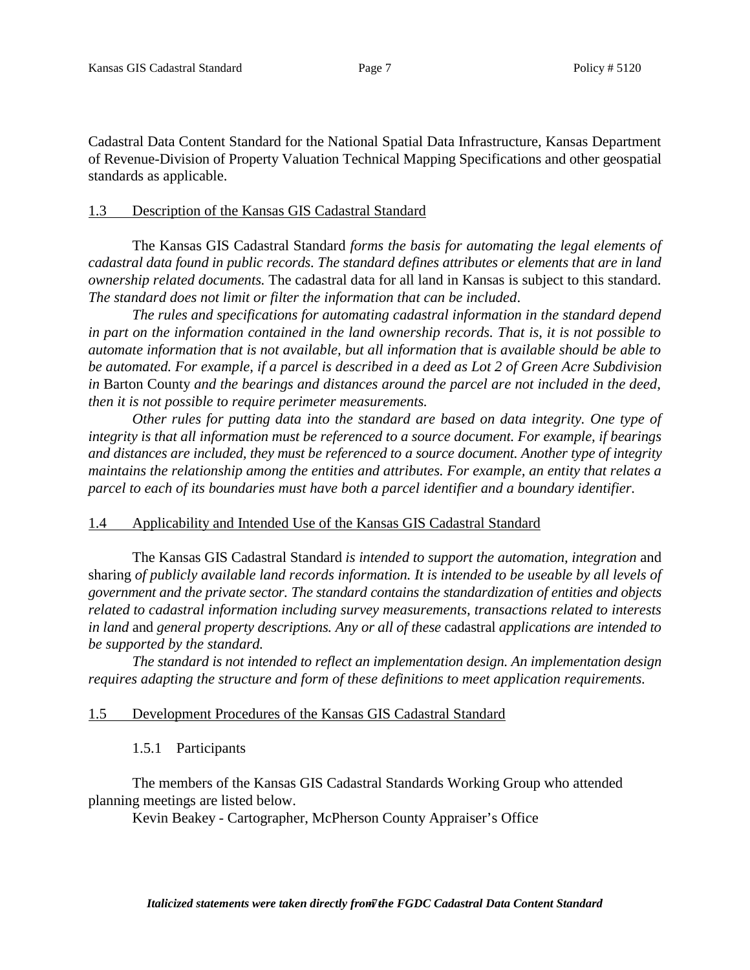Cadastral Data Content Standard for the National Spatial Data Infrastructure, Kansas Department of Revenue-Division of Property Valuation Technical Mapping Specifications and other geospatial standards as applicable.

### 1.3 Description of the Kansas GIS Cadastral Standard

The Kansas GIS Cadastral Standard *forms the basis for automating the legal elements of cadastral data found in public records. The standard defines attributes or elements that are in land ownership related documents.* The cadastral data for all land in Kansas is subject to this standard. *The standard does not limit or filter the information that can be included*.

*The rules and specifications for automating cadastral information in the standard depend in part on the information contained in the land ownership records. That is, it is not possible to automate information that is not available, but all information that is available should be able to be automated. For example, if a parcel is described in a deed as Lot 2 of Green Acre Subdivision in* Barton County *and the bearings and distances around the parcel are not included in the deed, then it is not possible to require perimeter measurements.*

*Other rules for putting data into the standard are based on data integrity. One type of integrity is that all information must be referenced to a source document. For example, if bearings and distances are included, they must be referenced to a source document. Another type of integrity maintains the relationship among the entities and attributes. For example, an entity that relates a parcel to each of its boundaries must have both a parcel identifier and a boundary identifier.*

# 1.4 Applicability and Intended Use of the Kansas GIS Cadastral Standard

The Kansas GIS Cadastral Standard *is intended to support the automation, integration* and sharing *of publicly available land records information. It is intended to be useable by all levels of government and the private sector. The standard contains the standardization of entities and objects related to cadastral information including survey measurements, transactions related to interests in land* and *general property descriptions. Any or all of these* cadastral *applications are intended to be supported by the standard.*

*The standard is not intended to reflect an implementation design. An implementation design requires adapting the structure and form of these definitions to meet application requirements.*

# 1.5 Development Procedures of the Kansas GIS Cadastral Standard

# 1.5.1 Participants

The members of the Kansas GIS Cadastral Standards Working Group who attended planning meetings are listed below.

Kevin Beakey - Cartographer, McPherson County Appraiser's Office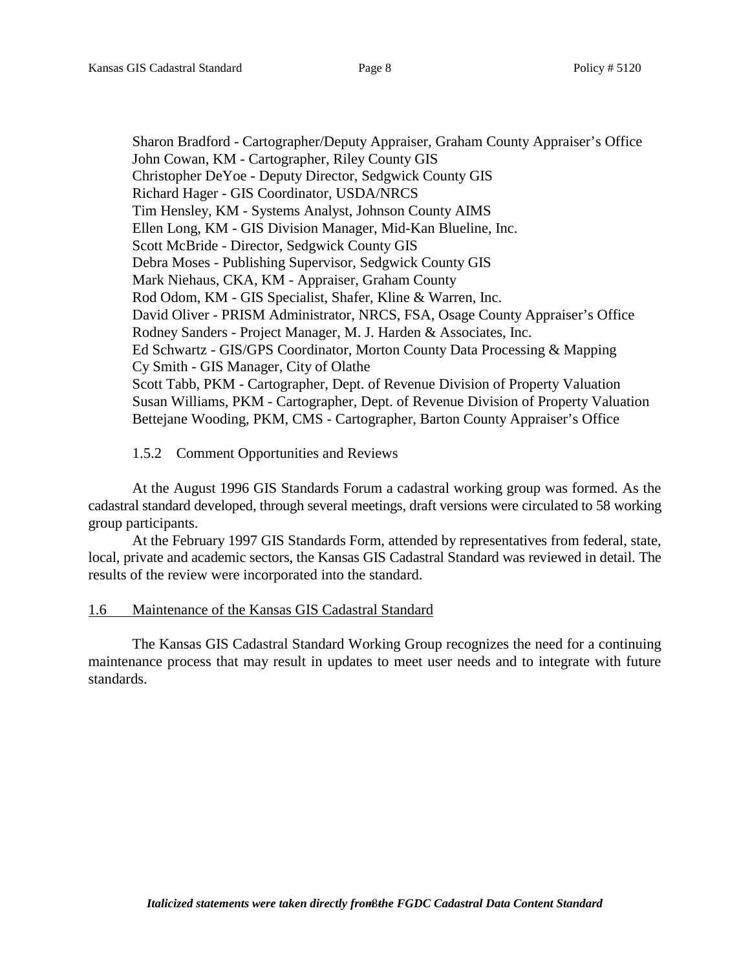Sharon Bradford - Cartographer/Deputy Appraiser, Graham County Appraiser's Office John Cowan, KM - Cartographer, Riley County GIS Christopher DeYoe - Deputy Director, Sedgwick County GIS Richard Hager - GIS Coordinator, USDA/NRCS Tim Hensley, KM - Systems Analyst, Johnson County AIMS Ellen Long, KM - GIS Division Manager, Mid-Kan Blueline, Inc. Scott McBride - Director, Sedgwick County GIS Debra Moses - Publishing Supervisor, Sedgwick County GIS Mark Niehaus, CKA, KM - Appraiser, Graham County Rod Odom, KM - GIS Specialist, Shafer, Kline & Warren, Inc. David Oliver - PRISM Administrator, NRCS, FSA, Osage County Appraiser's Office Rodney Sanders - Project Manager, M. J. Harden & Associates, Inc. Ed Schwartz - GIS/GPS Coordinator, Morton County Data Processing & Mapping Cy Smith - GIS Manager, City of Olathe Scott Tabb, PKM - Cartographer, Dept. of Revenue Division of Property Valuation Susan Williams, PKM - Cartographer, Dept. of Revenue Division of Property Valuation Bettejane Wooding, PKM, CMS - Cartographer, Barton County Appraiser's Office

# 1.5.2 Comment Opportunities and Reviews

At the August 1996 GIS Standards Forum a cadastral working group was formed. As the cadastral standard developed, through several meetings, draft versions were circulated to 58 working group participants.

At the February 1997 GIS Standards Form, attended by representatives from federal, state, local, private and academic sectors, the Kansas GIS Cadastral Standard was reviewed in detail. The results of the review were incorporated into the standard.

### 1.6 Maintenance of the Kansas GIS Cadastral Standard

The Kansas GIS Cadastral Standard Working Group recognizes the need for a continuing maintenance process that may result in updates to meet user needs and to integrate with future standards.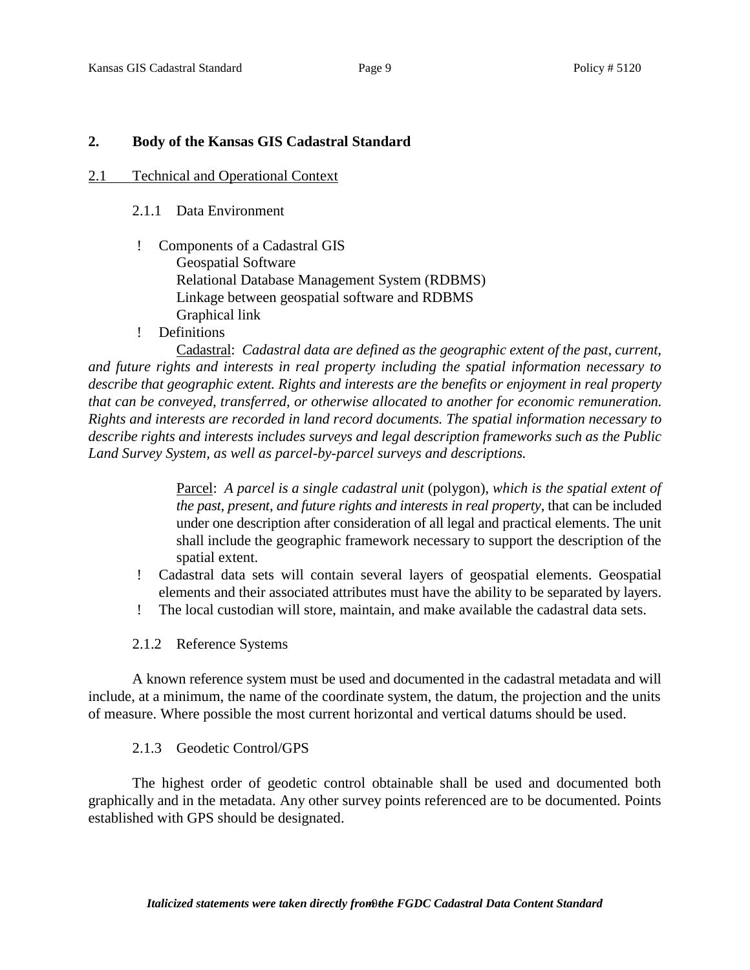# **2. Body of the Kansas GIS Cadastral Standard**

### 2.1 Technical and Operational Context

### 2.1.1 Data Environment

- ! Components of a Cadastral GIS Geospatial Software Relational Database Management System (RDBMS) Linkage between geospatial software and RDBMS Graphical link
- ! Definitions

Cadastral: *Cadastral data are defined as the geographic extent of the past, current, and future rights and interests in real property including the spatial information necessary to describe that geographic extent. Rights and interests are the benefits or enjoyment in real property that can be conveyed, transferred, or otherwise allocated to another for economic remuneration. Rights and interests are recorded in land record documents. The spatial information necessary to describe rights and interests includes surveys and legal description frameworks such as the Public Land Survey System, as well as parcel-by-parcel surveys and descriptions.*

> Parcel: *A parcel is a single cadastral unit* (polygon), *which is the spatial extent of the past, present, and future rights and interests in real property*, that can be included under one description after consideration of all legal and practical elements. The unit shall include the geographic framework necessary to support the description of the spatial extent.

- ! Cadastral data sets will contain several layers of geospatial elements. Geospatial elements and their associated attributes must have the ability to be separated by layers.
- ! The local custodian will store, maintain, and make available the cadastral data sets.
- 2.1.2 Reference Systems

A known reference system must be used and documented in the cadastral metadata and will include, at a minimum, the name of the coordinate system, the datum, the projection and the units of measure. Where possible the most current horizontal and vertical datums should be used.

# 2.1.3 Geodetic Control/GPS

The highest order of geodetic control obtainable shall be used and documented both graphically and in the metadata. Any other survey points referenced are to be documented. Points established with GPS should be designated.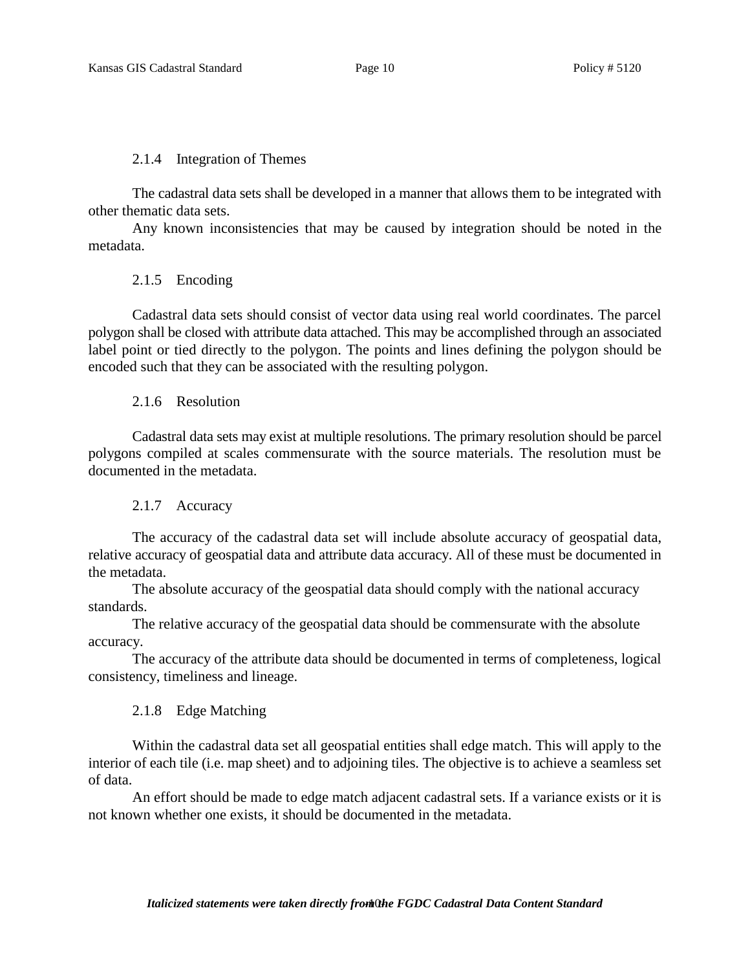2.1.4 Integration of Themes

The cadastral data sets shall be developed in a manner that allows them to be integrated with other thematic data sets.

Any known inconsistencies that may be caused by integration should be noted in the metadata.

2.1.5 Encoding

Cadastral data sets should consist of vector data using real world coordinates. The parcel polygon shall be closed with attribute data attached. This may be accomplished through an associated label point or tied directly to the polygon. The points and lines defining the polygon should be encoded such that they can be associated with the resulting polygon.

2.1.6 Resolution

Cadastral data sets may exist at multiple resolutions. The primary resolution should be parcel polygons compiled at scales commensurate with the source materials. The resolution must be documented in the metadata.

2.1.7 Accuracy

The accuracy of the cadastral data set will include absolute accuracy of geospatial data, relative accuracy of geospatial data and attribute data accuracy. All of these must be documented in the metadata.

The absolute accuracy of the geospatial data should comply with the national accuracy standards.

The relative accuracy of the geospatial data should be commensurate with the absolute accuracy.

The accuracy of the attribute data should be documented in terms of completeness, logical consistency, timeliness and lineage.

2.1.8 Edge Matching

Within the cadastral data set all geospatial entities shall edge match. This will apply to the interior of each tile (i.e. map sheet) and to adjoining tiles. The objective is to achieve a seamless set of data.

An effort should be made to edge match adjacent cadastral sets. If a variance exists or it is not known whether one exists, it should be documented in the metadata.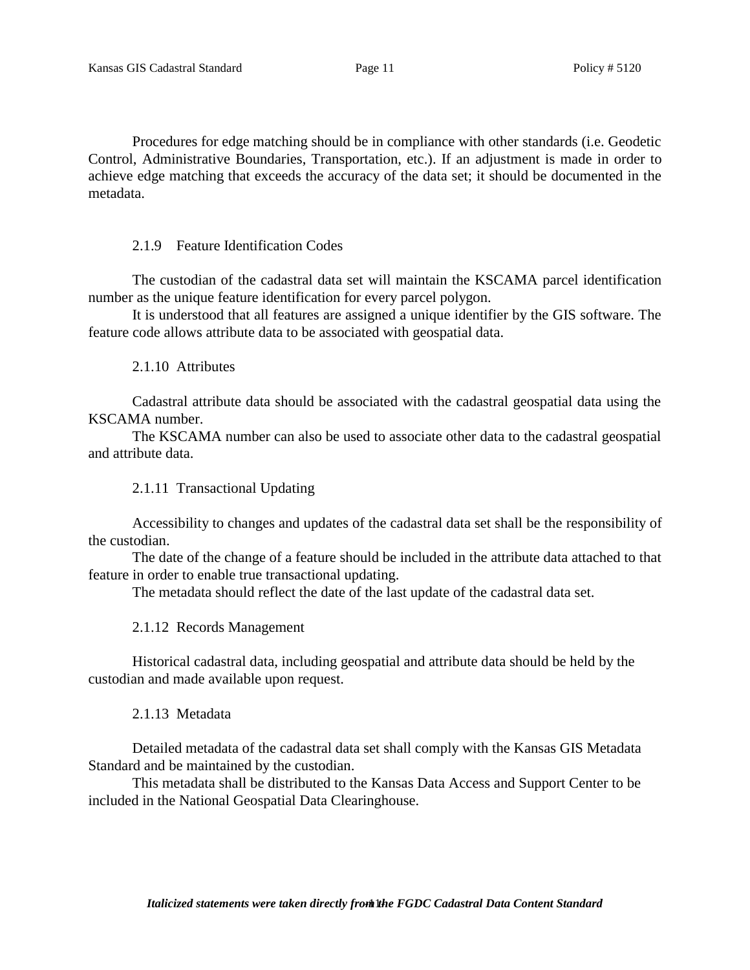Procedures for edge matching should be in compliance with other standards (i.e. Geodetic Control, Administrative Boundaries, Transportation, etc.). If an adjustment is made in order to achieve edge matching that exceeds the accuracy of the data set; it should be documented in the metadata.

2.1.9 Feature Identification Codes

The custodian of the cadastral data set will maintain the KSCAMA parcel identification number as the unique feature identification for every parcel polygon.

It is understood that all features are assigned a unique identifier by the GIS software. The feature code allows attribute data to be associated with geospatial data.

2.1.10 Attributes

Cadastral attribute data should be associated with the cadastral geospatial data using the KSCAMA number.

The KSCAMA number can also be used to associate other data to the cadastral geospatial and attribute data.

2.1.11 Transactional Updating

Accessibility to changes and updates of the cadastral data set shall be the responsibility of the custodian.

The date of the change of a feature should be included in the attribute data attached to that feature in order to enable true transactional updating.

The metadata should reflect the date of the last update of the cadastral data set.

2.1.12 Records Management

Historical cadastral data, including geospatial and attribute data should be held by the custodian and made available upon request.

2.1.13 Metadata

Detailed metadata of the cadastral data set shall comply with the Kansas GIS Metadata Standard and be maintained by the custodian.

This metadata shall be distributed to the Kansas Data Access and Support Center to be included in the National Geospatial Data Clearinghouse.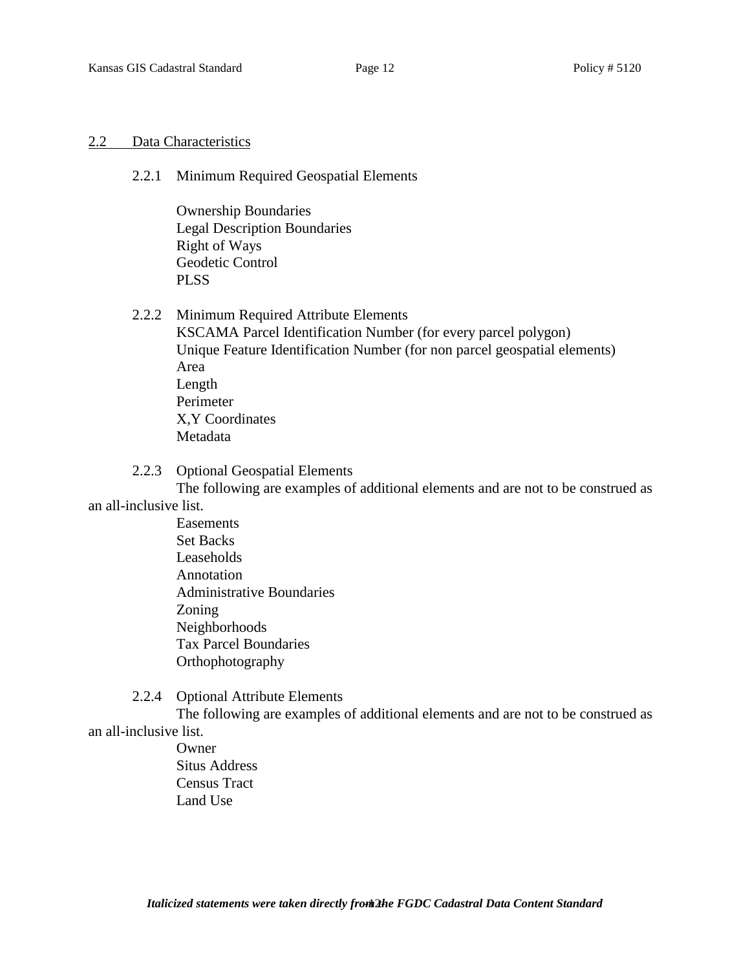### 2.2 Data Characteristics

2.2.1 Minimum Required Geospatial Elements

Ownership Boundaries Legal Description Boundaries Right of Ways Geodetic Control PLSS

2.2.2 Minimum Required Attribute Elements

KSCAMA Parcel Identification Number (for every parcel polygon) Unique Feature Identification Number (for non parcel geospatial elements) Area Length Perimeter X,Y Coordinates Metadata

# 2.2.3 Optional Geospatial Elements

The following are examples of additional elements and are not to be construed as an all-inclusive list.

- Easements Set Backs Leaseholds Annotation Administrative Boundaries Zoning Neighborhoods Tax Parcel Boundaries Orthophotography
- 2.2.4 Optional Attribute Elements

The following are examples of additional elements and are not to be construed as an all-inclusive list.

> **Owner** Situs Address Census Tract Land Use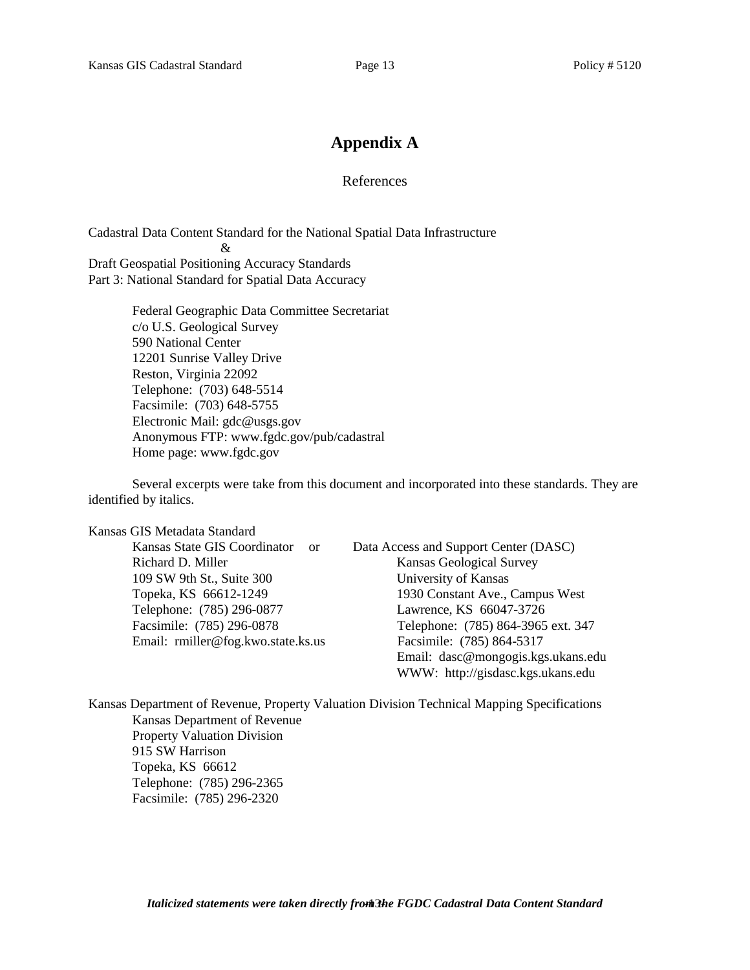# **Appendix A**

### References

Cadastral Data Content Standard for the National Spatial Data Infrastructure  $\mathcal{R}$ Draft Geospatial Positioning Accuracy Standards Part 3: National Standard for Spatial Data Accuracy

> Federal Geographic Data Committee Secretariat c/o U.S. Geological Survey 590 National Center 12201 Sunrise Valley Drive Reston, Virginia 22092 Telephone: (703) 648-5514 Facsimile: (703) 648-5755 Electronic Mail: gdc@usgs.gov Anonymous FTP: www.fgdc.gov/pub/cadastral Home page: www.fgdc.gov

Several excerpts were take from this document and incorporated into these standards. They are identified by italics.

Kansas GIS Metadata Standard

Kansas State GIS Coordinator or Data Access and Support Center (DASC) Richard D. Miller Kansas Geological Survey 109 SW 9th St., Suite 300 University of Kansas Topeka, KS 66612-1249 1930 Constant Ave., Campus West Telephone: (785) 296-0877 Lawrence, KS 66047-3726 Facsimile: (785) 296-0878 Telephone: (785) 864-3965 ext. 347 Email: rmiller@fog.kwo.state.ks.us Facsimile: (785) 864-5317 Email: dasc@mongogis.kgs.ukans.edu WWW: http://gisdasc.kgs.ukans.edu

Kansas Department of Revenue, Property Valuation Division Technical Mapping Specifications Kansas Department of Revenue Property Valuation Division 915 SW Harrison Topeka, KS 66612 Telephone: (785) 296-2365 Facsimile: (785) 296-2320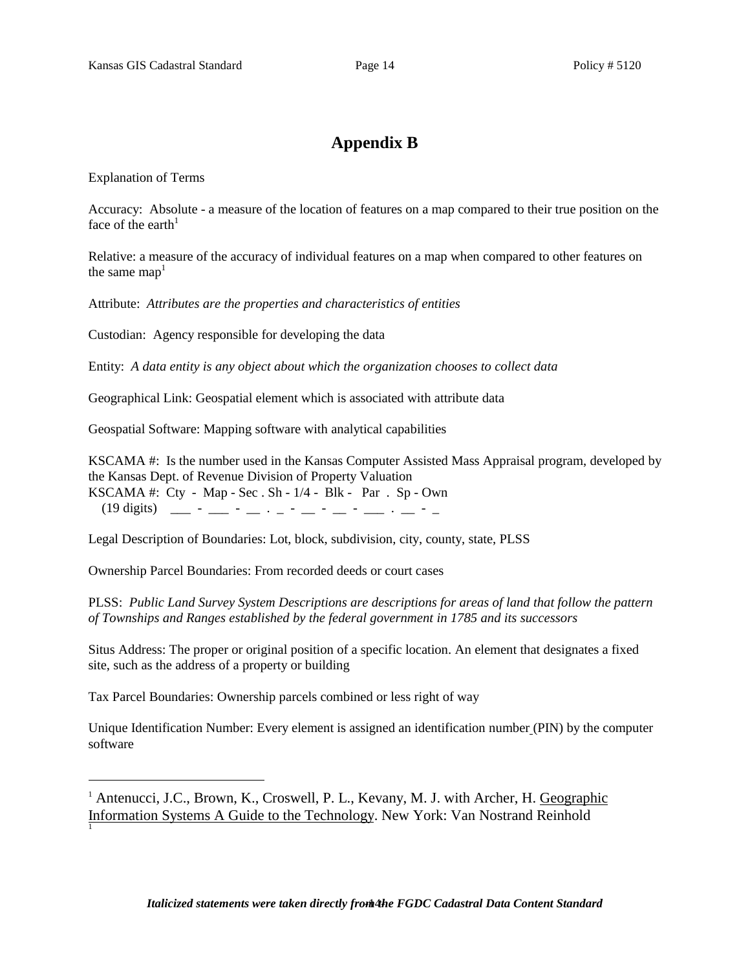# **Appendix B**

Explanation of Terms

Accuracy: Absolute - a measure of the location of features on a map compared to their true position on the face of the earth $<sup>1</sup>$ </sup>

Relative: a measure of the accuracy of individual features on a map when compared to other features on the same  $\text{map}^1$ 

Attribute: *Attributes are the properties and characteristics of entities*

Custodian: Agency responsible for developing the data

Entity: *A data entity is any object about which the organization chooses to collect data*

Geographical Link: Geospatial element which is associated with attribute data

Geospatial Software: Mapping software with analytical capabilities

KSCAMA #: Is the number used in the Kansas Computer Assisted Mass Appraisal program, developed by the Kansas Dept. of Revenue Division of Property Valuation KSCAMA #: Cty - Map - Sec . Sh - 1/4 - Blk - Par . Sp - Own

(19 digits) \_\_\_ - \_\_\_ - \_\_ . \_ - \_\_ - \_\_ - \_\_\_ . \_\_ - \_

Legal Description of Boundaries: Lot, block, subdivision, city, county, state, PLSS

Ownership Parcel Boundaries: From recorded deeds or court cases

PLSS: *Public Land Survey System Descriptions are descriptions for areas of land that follow the pattern of Townships and Ranges established by the federal government in 1785 and its successors*

Situs Address: The proper or original position of a specific location. An element that designates a fixed site, such as the address of a property or building

Tax Parcel Boundaries: Ownership parcels combined or less right of way

Unique Identification Number: Every element is assigned an identification number (PIN) by the computer software

<sup>1</sup> Antenucci, J.C., Brown, K., Croswell, P. L., Kevany, M. J. with Archer, H. Geographic Information Systems A Guide to the Technology. New York: Van Nostrand Reinhold 1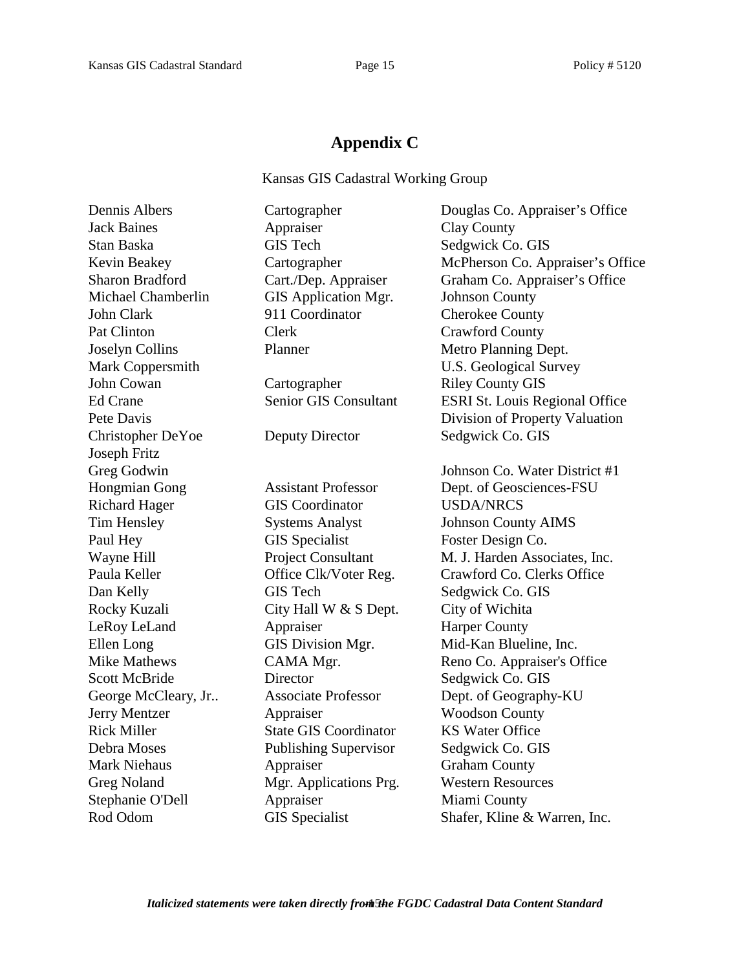# **Appendix C**

Kansas GIS Cadastral Working Group

Dennis Albers Cartographer Douglas Co. Appraiser's Office Jack Baines **Appraiser** Clay County Stan Baska GIS Tech Sedgwick Co. GIS Kevin Beakey Cartographer McPherson Co. Appraiser's Office Sharon Bradford Cart./Dep. Appraiser Graham Co. Appraiser's Office Michael Chamberlin GIS Application Mgr. Johnson County John Clark 911 Coordinator Cherokee County Pat Clinton Clerk Crawford County Joselyn Collins Planner Metro Planning Dept. Mark Coppersmith U.S. Geological Survey John Cowan Cartographer Riley County GIS Ed Crane Senior GIS Consultant ESRI St. Louis Regional Office Pete Davis **Property Valuation** Division of Property Valuation Christopher DeYoe Deputy Director Sedgwick Co. GIS Joseph Fritz Greg Godwin Johnson Co. Water District #1 Hongmian Gong Assistant Professor Dept. of Geosciences-FSU Richard Hager GIS Coordinator USDA/NRCS Tim Hensley Systems Analyst Johnson County AIMS Paul Hey GIS Specialist Foster Design Co. Wayne Hill **Project Consultant** M. J. Harden Associates, Inc. Paula Keller **Office Clk/Voter Reg.** Crawford Co. Clerks Office Dan Kelly GIS Tech Sedgwick Co. GIS Rocky Kuzali City Hall W & S Dept. City of Wichita LeRoy LeLand Appraiser Harper County Ellen Long GIS Division Mgr. Mid-Kan Blueline, Inc. Mike Mathews CAMA Mgr. Reno Co. Appraiser's Office Scott McBride Director Sedgwick Co. GIS George McCleary, Jr.. Associate Professor Dept. of Geography-KU Jerry Mentzer Appraiser Woodson County Rick Miller State GIS Coordinator KS Water Office Debra Moses Publishing Supervisor Sedgwick Co. GIS Mark Niehaus Appraiser Graham County Greg Noland Mgr. Applications Prg. Western Resources Stephanie O'Dell **Appraiser** Miami County Rod Odom GIS Specialist Shafer, Kline & Warren, Inc.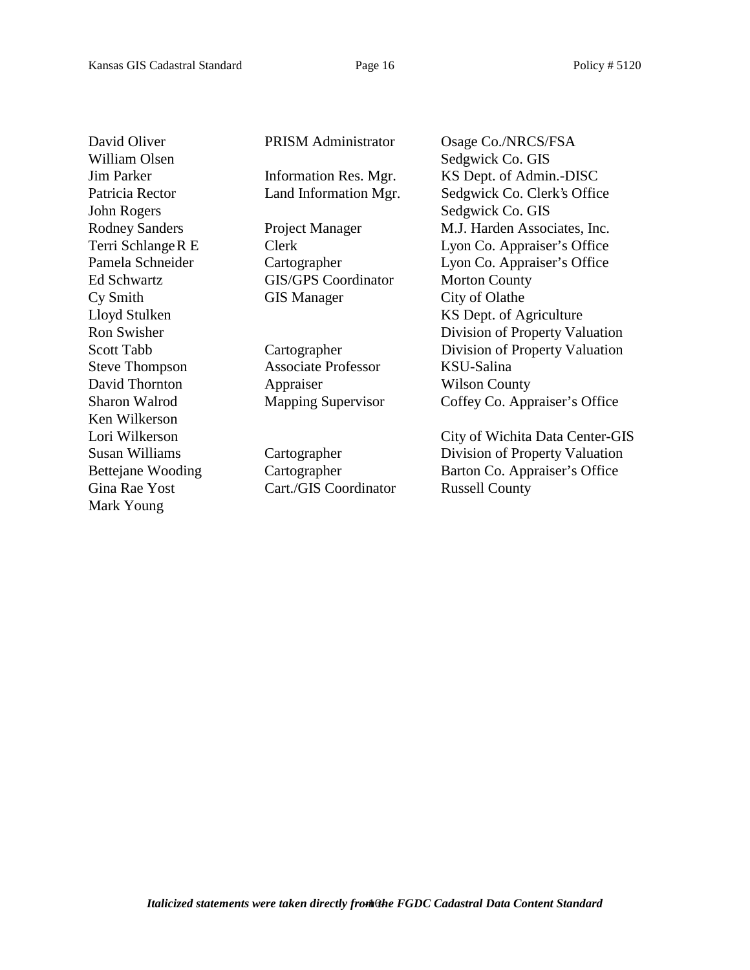William Olsen Sedgwick Co. GIS John Rogers Sedgwick Co. GIS Ken Wilkerson Mark Young

Ed Schwartz **GIS/GPS** Coordinator Morton County Cy Smith GIS Manager City of Olathe

Steve Thompson Associate Professor KSU-Salina David Thornton **Appraiser** Wilson County

Gina Rae Yost Cart./GIS Coordinator Russell County

David Oliver PRISM Administrator Osage Co./NRCS/FSA Jim Parker Information Res. Mgr. KS Dept. of Admin.-DISC Patricia Rector Land Information Mgr. Sedgwick Co. Clerk's Office Rodney Sanders Project Manager M.J. Harden Associates, Inc. Terri SchlangeR E Clerk Lyon Co. Appraiser's Office Pamela Schneider Cartographer Lyon Co. Appraiser's Office Lloyd Stulken KS Dept. of Agriculture Ron Swisher Division of Property Valuation Scott Tabb Cartographer Division of Property Valuation Sharon Walrod Mapping Supervisor Coffey Co. Appraiser's Office

Lori Wilkerson City of Wichita Data Center-GIS Susan Williams Cartographer Division of Property Valuation Bettejane Wooding Cartographer Barton Co. Appraiser's Office